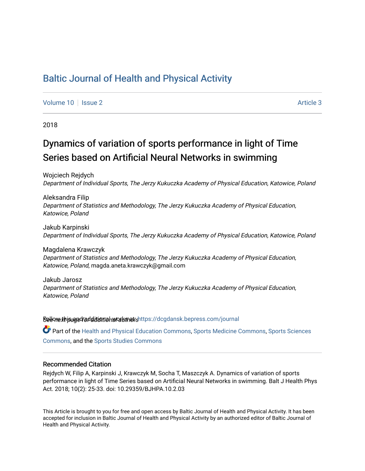# [Baltic Journal of Health and Physical Activity](https://dcgdansk.bepress.com/journal)

[Volume 10](https://dcgdansk.bepress.com/journal/vol10) | [Issue 2](https://dcgdansk.bepress.com/journal/vol10/iss2) Article 3

2018

# Dynamics of variation of sports performance in light of Time Series based on Artificial Neural Networks in swimming

Wojciech Rejdych Department of Individual Sports, The Jerzy Kukuczka Academy of Physical Education, Katowice, Poland

Aleksandra Filip Department of Statistics and Methodology, The Jerzy Kukuczka Academy of Physical Education, Katowice, Poland

Jakub Karpinski Department of Individual Sports, The Jerzy Kukuczka Academy of Physical Education, Katowice, Poland

Magdalena Krawczyk Department of Statistics and Methodology, The Jerzy Kukuczka Academy of Physical Education, Katowice, Poland, magda.aneta.krawczyk@gmail.com

Jakub Jarosz Department of Statistics and Methodology, The Jerzy Kukuczka Academy of Physical Education, Katowice, Poland

Sellow this ane diditional authors Follow this Follow this and additional sellow this and additional sellow that

Part of the [Health and Physical Education Commons](http://network.bepress.com/hgg/discipline/1327?utm_source=dcgdansk.bepress.com%2Fjournal%2Fvol10%2Fiss2%2F3&utm_medium=PDF&utm_campaign=PDFCoverPages), [Sports Medicine Commons,](http://network.bepress.com/hgg/discipline/1331?utm_source=dcgdansk.bepress.com%2Fjournal%2Fvol10%2Fiss2%2F3&utm_medium=PDF&utm_campaign=PDFCoverPages) [Sports Sciences](http://network.bepress.com/hgg/discipline/759?utm_source=dcgdansk.bepress.com%2Fjournal%2Fvol10%2Fiss2%2F3&utm_medium=PDF&utm_campaign=PDFCoverPages) [Commons](http://network.bepress.com/hgg/discipline/759?utm_source=dcgdansk.bepress.com%2Fjournal%2Fvol10%2Fiss2%2F3&utm_medium=PDF&utm_campaign=PDFCoverPages), and the [Sports Studies Commons](http://network.bepress.com/hgg/discipline/1198?utm_source=dcgdansk.bepress.com%2Fjournal%2Fvol10%2Fiss2%2F3&utm_medium=PDF&utm_campaign=PDFCoverPages) 

#### Recommended Citation

Rejdych W, Filip A, Karpinski J, Krawczyk M, Socha T, Maszczyk A. Dynamics of variation of sports performance in light of Time Series based on Artificial Neural Networks in swimming. Balt J Health Phys Act. 2018; 10(2): 25-33. doi: 10.29359/BJHPA.10.2.03

This Article is brought to you for free and open access by Baltic Journal of Health and Physical Activity. It has been accepted for inclusion in Baltic Journal of Health and Physical Activity by an authorized editor of Baltic Journal of Health and Physical Activity.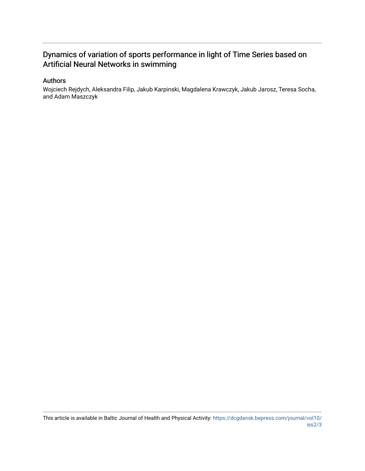# Dynamics of variation of sports performance in light of Time Series based on Artificial Neural Networks in swimming

### Authors

Wojciech Rejdych, Aleksandra Filip, Jakub Karpinski, Magdalena Krawczyk, Jakub Jarosz, Teresa Socha, and Adam Maszczyk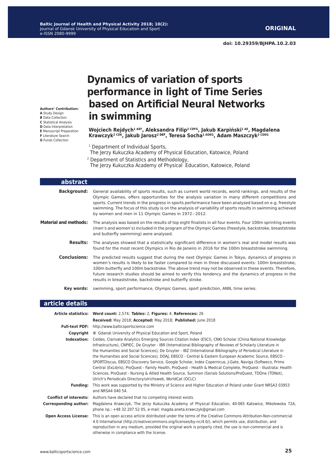**Authors' Contribution: A** Study Design **B** Data Collection **C** Statistical Analysis **D** Data Interpretation **E** Manuscript Preparation **F** Literature Search **G** Funds Collection

# **Dynamics of variation of sports performance in light of Time Series based on Artificial Neural Networks in swimming**

**Wojciech Rejdych1 AEF, Aleksandra Filip2 CDFG, Jakub Karpiński1 AE, Magdalena Krawczyk2 CDE, Jakub Jarosz2 DEF, Teresa Socha1 ADEG, Adam Maszczyk2 CDEG**

<sup>1</sup> Department of Individual Sports,

The Jerzy Kukuczka Academy of Physical Education, Katowice, Poland

<sup>2</sup> Department of Statistics and Methodology,

The Jerzy Kukuczka Academy of Physical Education, Katowice, Poland

| abstract                     |                                                                                                                                                                                                                                                                                                                                                                                                                                                                                               |
|------------------------------|-----------------------------------------------------------------------------------------------------------------------------------------------------------------------------------------------------------------------------------------------------------------------------------------------------------------------------------------------------------------------------------------------------------------------------------------------------------------------------------------------|
| <b>Background:</b>           | General availability of sports results, such as current world records, world rankings, and results of the<br>Olympic Games, offers opportunities for the analysis variation in many different competitions and<br>sports. Current trends in the progress in sports performance have been analysed based on e.g. freestyle<br>swimming. The focus of this study is on the analysis of variability of sports results in swimming achieved<br>by women and men in 11 Olympic Games in 1972-2012. |
| <b>Material and methods:</b> | The analysis was based on the results of top eight finalists in all four events. Four 100m sprinting events<br>(men's and women's) included in the program of the Olympic Games (freestyle, backstroke, breaststroke<br>and butterfly swimming) were analysed.                                                                                                                                                                                                                                |
| <b>Results:</b>              | The analyses showed that a statistically significant difference in women's real and model results was<br>found for the most recent Olympics in Rio de Janeiro in 2016 for the 100m breaststroke swimming.                                                                                                                                                                                                                                                                                     |
| <b>Conclusions:</b>          | The predicted results suggest that during the next Olympic Games in Tokyo, dynamics of progress in<br>women's results is likely to be faster compared to men in three discussed events: 100m breaststroke,<br>100m butterfly and 100m backstroke. The above trend may not be observed in these events. Therefore,<br>future research studies should be aimed to verify this tendency and the dynamics of progress in the<br>results in breaststroke, backstroke and butterfly stroke.         |
| Key words:                   | swimming, sport performance, Olympic Games, sport prediction, ANN, time series.                                                                                                                                                                                                                                                                                                                                                                                                               |

#### **article details**

|                              | Article statistics: Word count: 2,574; Tables: 2; Figures: 4; References: 26                                                                                                                                                                                                                                                                                                                                                                                                                                                                                                                                                                                                                                                                                                                                                                                  |
|------------------------------|---------------------------------------------------------------------------------------------------------------------------------------------------------------------------------------------------------------------------------------------------------------------------------------------------------------------------------------------------------------------------------------------------------------------------------------------------------------------------------------------------------------------------------------------------------------------------------------------------------------------------------------------------------------------------------------------------------------------------------------------------------------------------------------------------------------------------------------------------------------|
|                              | Received: May 2018; Accepted: May 2018; Published: June 2018                                                                                                                                                                                                                                                                                                                                                                                                                                                                                                                                                                                                                                                                                                                                                                                                  |
|                              | <b>Full-text PDF:</b> http://www.balticsportscience.com                                                                                                                                                                                                                                                                                                                                                                                                                                                                                                                                                                                                                                                                                                                                                                                                       |
| Copyright                    | © Gdansk University of Physical Education and Sport, Poland                                                                                                                                                                                                                                                                                                                                                                                                                                                                                                                                                                                                                                                                                                                                                                                                   |
| Indexation:                  | Celdes, Clarivate Analytics Emerging Sources Citation Index (ESCI), CNKI Scholar (China National Knowledge<br>Infrastructure), CNPIEC, De Gruyter - IBR (International Bibliography of Reviews of Scholarly Literature in<br>the Humanities and Social Sciences), De Gruyter - IBZ (International Bibliography of Periodical Literature in<br>the Humanities and Social Sciences), DOAJ, EBSCO - Central & Eastern European Academic Source, EBSCO -<br>SPORTDiscus, EBSCO Discovery Service, Google Scholar, Index Copernicus, J-Gate, Naviga (Softweco, Primo<br>Central (ExLibris), ProQuest - Family Health, ProQuest - Health & Medical Complete, ProQuest - Illustrata: Health<br>Sciences, ProQuest - Nursing & Allied Health Source, Summon (Serials Solutions/ProQuest, TDOne (TDNet),<br>Ulrich's Periodicals Directory/ulrichsweb, WorldCat (OCLC) |
| <b>Funding:</b>              | This work was supported by the Ministry of Science and Higher Education of Poland under Grant NRSA3 03953<br>and NRSA4 040 54.                                                                                                                                                                                                                                                                                                                                                                                                                                                                                                                                                                                                                                                                                                                                |
|                              | <b>Conflict of interests:</b> Authors have declared that no competing interest exists.                                                                                                                                                                                                                                                                                                                                                                                                                                                                                                                                                                                                                                                                                                                                                                        |
| <b>Corresponding author:</b> | Magdalena Krawczyk, The Jerzy Kukuczka Academy of Physical Education, 40-065 Katowice, Mikołowska 72A,<br>phone np.: +48 32 207 52 05, e-mail: magda.aneta.krawczyk@gmail.com                                                                                                                                                                                                                                                                                                                                                                                                                                                                                                                                                                                                                                                                                 |
| <b>Open Access License:</b>  | This is an open access article distributed under the terms of the Creative Commons Attribution-Non-commercial<br>4.0 International (http://creativecommons.org/licenses/by-nc/4.0/), which permits use, distribution, and<br>reproduction in any medium, provided the original work is properly cited, the use is non-commercial and is<br>otherwise in compliance with the license.                                                                                                                                                                                                                                                                                                                                                                                                                                                                          |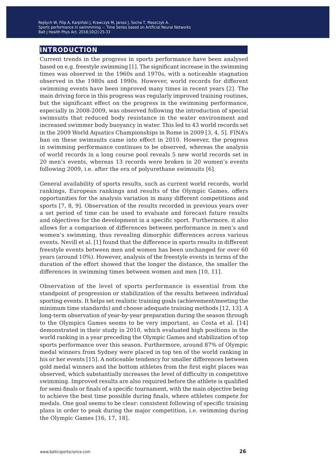# **introduction**

Current trends in the progress in sports performance have been analysed based on e.g. freestyle swimming [1]. The significant increase in the swimming times was observed in the 1960s and 1970s, with a noticeable stagnation observed in the 1980s and 1990s. However, world records for different swimming events have been improved many times in recent years [2]. The main driving force in this progress was regularly improved training routines, but the significant effect on the progress in the swimming performance, especially in 2008-2009, was observed following the introduction of special swimsuits that reduced body resistance in the water environment and increased swimmer body buoyancy in water. This led to 43 world records set in the 2009 World Aquatics Championships in Rome in 2009 [3, 4, 5]. FINA's ban on these swimsuits came into effect in 2010. However, the progress in swimming performance continues to be observed, whereas the analysis of world records in a long course pool reveals 5 new world records set in 20 men's events, whereas 13 records were broken in 20 women's events following 2009, i.e. after the era of polyurethane swimsuits [6].

General availability of sports results, such as current world records, world rankings, European rankings and results of the Olympic Games, offers opportunities for the analysis variation in many different competitions and sports [7, 8, 9]. Observation of the results recorded in previous years over a set period of time can be used to evaluate and forecast future results and objectives for the development in a specific sport. Furthermore, it also allows for a comparison of differences between performance in men's and women's swimming, thus revealing dimorphic differences across various events. Nevill et al. [1] found that the difference in sports results in different freestyle events between men and women has been unchanged for over 60 years (around 10%). However, analysis of the freestyle events in terms of the duration of the effort showed that the longer the distance, the smaller the differences in swimming times between women and men [10, 11].

Observation of the level of sports performance is essential from the standpoint of progression or stabilization of the results between individual sporting events. It helps set realistic training goals (achievement/meeting the minimum time standards) and choose adequate training methods [12, 13]. A long-term observation of year-by-year preparation during the season through to the Olympics Games seems to be very important, as Costa et al. [14] demonstrated in their study in 2010, which evaluated high positions in the world ranking in a year preceding the Olympic Games and stabilization of top sports performance over this season. Furthermore, around 87% of Olympic medal winners from Sydney were placed in top ten of the world ranking in his or her events [15]. A noticeable tendency for smaller differences between gold medal winners and the bottom athletes from the first eight places was observed, which substantially increases the level of difficulty in competitive swimming. Improved results are also required before the athlete is qualified for semi-finals or finals of a specific tournament, with the main objective being to achieve the best time possible during finals, where athletes compete for medals. One goal seems to be clear: consistent following of specific training plans in order to peak during the major competition, i.e. swimming during the Olympic Games [16, 17, 18].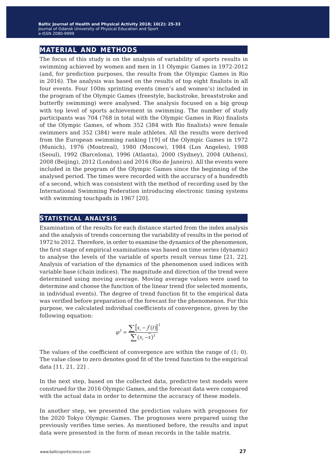### **material and methods**

The focus of this study is on the analysis of variability of sports results in swimming achieved by women and men in 11 Olympic Games in 1972-2012 (and, for prediction purposes, the results from the Olympic Games in Rio in 2016). The analysis was based on the results of top eight finalists in all four events. Four 100m sprinting events (men's and women's) included in the program of the Olympic Games (freestyle, backstroke, breaststroke and butterfly swimming) were analysed. The analysis focused on a big group with top level of sports achievement in swimming. The number of study participants was 704 (768 in total with the Olympic Games in Rio) finalists of the Olympic Games, of whom 352 (384 with Rio finalists) were female swimmers and 352 (384) were male athletes. All the results were derived from the European swimming ranking [19] of the Olympic Games in 1972 (Munich), 1976 (Montreal), 1980 (Moscow), 1984 (Los Angeles), 1988 (Seoul), 1992 (Barcelona), 1996 (Atlanta), 2000 (Sydney), 2004 (Athens), 2008 (Beijing), 2012 (London) and 2016 (Rio de Janeiro). All the events were included in the program of the Olympic Games since the beginning of the analysed period. The times were recorded with the accuracy of a hundredth of a second, which was consistent with the method of recording used by the International Swimming Federation introducing electronic timing systems with swimming touchpads in 1967 [20].

#### **statistical analysis**

Examination of the results for each distance started from the index analysis and the analysis of trends concerning the variability of results in the period of 1972 to 2012. Therefore, in order to examine the dynamics of the phenomenon, the first stage of empirical examinations was based on time series (dynamic) to analyse the levels of the variable of sports result versus time [21, 22]. Analysis of variation of the dynamics of the phenomenon used indices with variable base (chain indices). The magnitude and direction of the trend were determined using moving average. Moving average values were used to determine and choose the function of the linear trend (for selected moments, in individual events). The degree of trend function fit to the empirical data was verified before preparation of the forecast for the phenomenon. For this purpose, we calculated individual coefficients of convergence, given by the following equation:

$$
\varphi^2 = \frac{\sum [x_i - f(t)]^2}{\sum (x_i - \overline{x})^2}
$$

The values of the coefficient of convergence are within the range of  $(1; 0)$ . The value close to zero denotes good fit of the trend function to the empirical data [11, 21, 22] .

In the next step, based on the collected data, predictive test models were construed for the 2016 Olympic Games, and the forecast data were compared with the actual data in order to determine the accuracy of these models.

In another step, we presented the prediction values with prognoses for the 2020 Tokyo Olympic Games. The prognoses were prepared using the previously verifies time series. As mentioned before, the results and input data were presented in the form of mean records in the table matrix.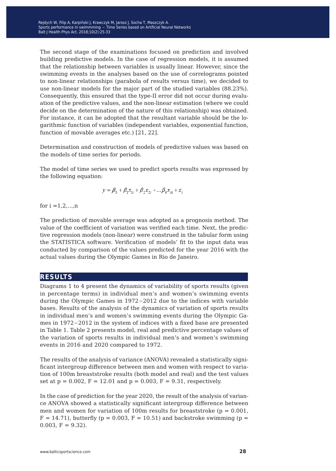The second stage of the examinations focused on prediction and involved building predictive models. In the case of regression models, it is assumed that the relationship between variables is usually linear. However, since the swimming events in the analyses based on the use of correlograms pointed to non-linear relationships (parabola of results versus time), we decided to use non-linear models for the major part of the studied variables (88.23%). Consequently, this ensured that the type-II error did not occur during evaluation of the predictive values, and the non-linear estimation (where we could decide on the determination of the nature of this relationship) was obtained. For instance, it can be adopted that the resultant variable should be the logarithmic function of variables (independent variables, exponential function, function of movable averages etc.) [21, 22].

Determination and construction of models of predictive values was based on the models of time series for periods.

The model of time series we used to predict sports results was expressed by the following equation:

$$
y = \beta_0 + \beta_1 x_{1i} + \beta_2 x_{2i} + \dots \beta_k x_{ki} + \varepsilon_i
$$

for  $i = 1, 2, ..., n$ 

The prediction of movable average was adopted as a prognosis method. The value of the coefficient of variation was verified each time. Next, the predictive regression models (non-linear) were construed in the tabular form using the STATISTICA software. Verification of models' fit to the input data was conducted by comparison of the values predicted for the year 2016 with the actual values during the Olympic Games in Rio de Janeiro.

### **results**

Diagrams 1 to 4 present the dynamics of variability of sports results (given in percentage terms) in individual men's and women's swimming events during the Olympic Games in 1972−2012 due to the indices with variable bases. Results of the analysis of the dynamics of variation of sports results in individual men's and women's swimming events during the Olympic Games in 1972−2012 in the system of indices with a fixed base are presented in Table 1. Table 2 presents model, real and predictive percentage values of the variation of sports results in individual men's and women's swimming events in 2016 and 2020 compared to 1972.

The results of the analysis of variance (ANOVA) revealed a statistically significant intergroup difference between men and women with respect to variation of 100m breaststroke results (both model and real) and the test values set at  $p = 0.002$ ,  $F = 12.01$  and  $p = 0.003$ ,  $F = 9.31$ , respectively.

In the case of prediction for the year 2020, the result of the analysis of variance ANOVA showed a statistically significant intergroup difference between men and women for variation of 100m results for breaststroke ( $p = 0.001$ ,  $F = 14.71$ ), butterfly (p = 0.003, F = 10.51) and backstroke swimming (p = 0.003,  $F = 9.32$ ).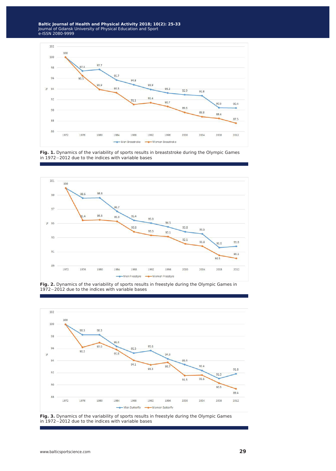

**Fig. 1.** Dynamics of the variability of sports results in breaststroke during the Olympic Games in 1972−2012 due to the indices with variable bases



**Fig. 2.** Dynamics of the variability of sports results in freestyle during the Olympic Games in 1972−2012 due to the indices with variable bases



Fig. 3. Dynamics of the variability of sports results in freestyle during the Olympic Games in 1972−2012 due to the indices with variable bases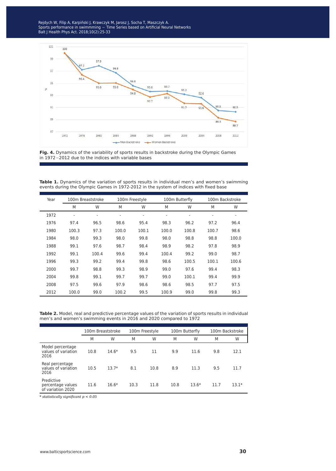ejdych w, Filip A, Karpi ports performance in swimmming  $-$  Time Series based on Artificial Neu ait J Health Phys Act. 2018;10(2):23-33 Rejdych W, Filip A, Karpinski J, Krawczyk M, Jarosz J, Socha T, Maszczyk A.<br>Sports performance in swimmming − Time Series based on Artificial Neural Networks Balt J Health Phys Act. 2018;10(2):25-33





Table 1. Dynamics of the variation of sports results in individual men's and women's swimming events during the Olympic Games in 1972-2012 in the system of indices with fixed base

| Year | 100m Breaststroke        |                          | 100m Freestyle |                          | 100m Butterfly           |                          | 100m Backstroke          |                              |
|------|--------------------------|--------------------------|----------------|--------------------------|--------------------------|--------------------------|--------------------------|------------------------------|
|      | M                        | W                        | M              | W                        | M                        | W                        | M                        | W                            |
| 1972 | $\overline{\phantom{a}}$ | $\overline{\phantom{a}}$ | $\overline{a}$ | $\overline{\phantom{a}}$ | $\overline{\phantom{a}}$ | $\overline{\phantom{a}}$ | $\overline{\phantom{a}}$ | $\qquad \qquad \blacksquare$ |
| 1976 | 97.4                     | 96.5                     | 98.6           | 95.4                     | 98.3                     | 96.2                     | 97.2                     | 96.4                         |
| 1980 | 100.3                    | 97.3                     | 100.0          | 100.1                    | 100.0                    | 100.8                    | 100.7                    | 98.6                         |
| 1984 | 98.0                     | 99.3                     | 98.0           | 99.8                     | 98.0                     | 98.8                     | 98.8                     | 100.0                        |
| 1988 | 99.1                     | 97.6                     | 98.7           | 98.4                     | 98.9                     | 98.2                     | 97.8                     | 98.9                         |
| 1992 | 99.1                     | 100.4                    | 99.6           | 99.4                     | 100.4                    | 99.2                     | 99.0                     | 98.7                         |
| 1996 | 99.3                     | 99.2                     | 99.4           | 99.8                     | 98.6                     | 100.5                    | 100.1                    | 100.6                        |
| 2000 | 99.7                     | 98.8                     | 99.3           | 98.9                     | 99.0                     | 97.6                     | 99.4                     | 98.3                         |
| 2004 | 99.8                     | 99.1                     | 99.7           | 99.7                     | 99.0                     | 100.1                    | 99.4                     | 99.9                         |
| 2008 | 97.5                     | 99.6                     | 97.9           | 98.6                     | 98.6                     | 98.5                     | 97.7                     | 97.5                         |
| 2012 | 100.0                    | 99.0                     | 100.2          | 99.5                     | 100.9                    | 99.0                     | 99.8                     | 99.3                         |

**Table 2.** Model, real and predictive percentage values of the variation of sports results in individual men's and women's swimming events in 2016 and 2020 compared to 1972

|                                                      | 100m Breaststroke |         | 100m Freestyle |      | 100m Butterfly |         | 100m Backstroke |         |
|------------------------------------------------------|-------------------|---------|----------------|------|----------------|---------|-----------------|---------|
|                                                      | M                 | W       | M              | W    | M              | W       | M               | W       |
| Model percentage<br>values of variation<br>2016      | 10.8              | $14.6*$ | 9.5            | 11   | 9.9            | 11.6    | 9.8             | 12.1    |
| Real percentage<br>values of variation<br>2016       | 10.5              | $13.7*$ | 8.1            | 10.8 | 8.9            | 11.3    | 9.5             | 11.7    |
| Predictive<br>percentage values<br>of variation 2020 | 11.6              | $16.6*$ | 10.3           | 11.8 | 10.8           | $13.6*$ | 11.7            | $13.1*$ |

*\* statistically significant p < 0.05*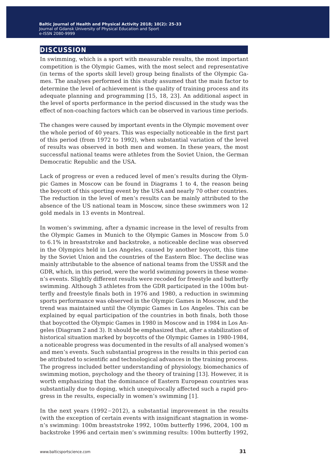# **discussion**

In swimming, which is a sport with measurable results, the most important competition is the Olympic Games, with the most select and representative (in terms of the sports skill level) group being finalists of the Olympic Games. The analyses performed in this study assumed that the main factor to determine the level of achievement is the quality of training process and its adequate planning and programming [15, 18, 23]. An additional aspect in the level of sports performance in the period discussed in the study was the effect of non-coaching factors which can be observed in various time periods.

The changes were caused by important events in the Olympic movement over the whole period of 40 years. This was especially noticeable in the first part of this period (from 1972 to 1992), when substantial variation of the level of results was observed in both men and women. In these years, the most successful national teams were athletes from the Soviet Union, the German Democratic Republic and the USA.

Lack of progress or even a reduced level of men's results during the Olympic Games in Moscow can be found in Diagrams 1 to 4, the reason being the boycott of this sporting event by the USA and nearly 70 other countries. The reduction in the level of men's results can be mainly attributed to the absence of the US national team in Moscow, since these swimmers won 12 gold medals in 13 events in Montreal.

In women's swimming, after a dynamic increase in the level of results from the Olympic Games in Munich to the Olympic Games in Moscow from 5.0 to 6.1% in breaststroke and backstroke, a noticeable decline was observed in the Olympics held in Los Angeles, caused by another boycott, this time by the Soviet Union and the countries of the Eastern Bloc. The decline was mainly attributable to the absence of national teams from the USSR and the GDR, which, in this period, were the world swimming powers in these women's events. Slightly different results were recoded for freestyle and butterfly swimming. Although 3 athletes from the GDR participated in the 100m butterfly and freestyle finals both in 1976 and 1980, a reduction in swimming sports performance was observed in the Olympic Games in Moscow, and the trend was maintained until the Olympic Games in Los Angeles. This can be explained by equal participation of the countries in both finals, both those that boycotted the Olympic Games in 1980 in Moscow and in 1984 in Los Angeles (Diagram 2 and 3). It should be emphasized that, after a stabilization of historical situation marked by boycotts of the Olympic Games in 1980-1984, a noticeable progress was documented in the results of all analysed women's and men's events. Such substantial progress in the results in this period can be attributed to scientific and technological advances in the training process. The progress included better understanding of physiology, biomechanics of swimming motion, psychology and the theory of training [13]. However, it is worth emphasizing that the dominance of Eastern European countries was substantially due to doping, which unequivocally affected such a rapid progress in the results, especially in women's swimming [1].

In the next years (1992−2012), a substantial improvement in the results (with the exception of certain events with insignificant stagnation in women's swimming: 100m breaststroke 1992, 100m butterfly 1996, 2004, 100 m backstroke 1996 and certain men's swimming results: 100m butterfly 1992,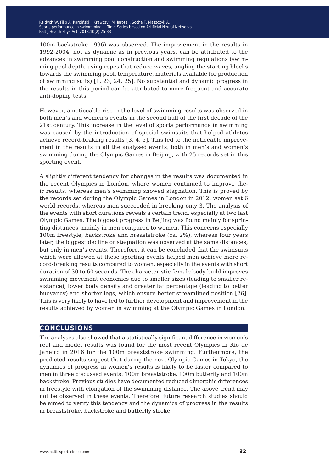Rejdych W, Filip A, Karpiński J, Krawczyk M, Jarosz J, Socha T, Maszczyk A.<br>C Sports performance in swimmming − Time Series based on Artificial Neural Networks<br>-Balt J Health Phys Act. 2018;10(2):25-33

100m backstroke 1996) was observed. The improvement in the results in 1992-2004, not as dynamic as in previous years, can be attributed to the advances in swimming pool construction and swimming regulations (swimming pool depth, using ropes that reduce waves, angling the starting blocks towards the swimming pool, temperature, materials available for production of swimming suits) [1, 23, 24, 25]. No substantial and dynamic progress in the results in this period can be attributed to more frequent and accurate anti-doping tests.

However, a noticeable rise in the level of swimming results was observed in both men's and women's events in the second half of the first decade of the 21st century. This increase in the level of sports performance in swimming was caused by the introduction of special swimsuits that helped athletes achieve record-braking results [3, 4, 5]. This led to the noticeable improvement in the results in all the analysed events, both in men's and women's swimming during the Olympic Games in Beijing, with 25 records set in this sporting event.

A slightly different tendency for changes in the results was documented in the recent Olympics in London, where women continued to improve their results, whereas men's swimming showed stagnation. This is proved by the records set during the Olympic Games in London in 2012: women set 6 world records, whereas men succeeded in breaking only 3. The analysis of the events with short durations reveals a certain trend, especially at two last Olympic Games. The biggest progress in Beijing was found mainly for sprinting distances, mainly in men compared to women. This concerns especially 100m freestyle, backstroke and breaststroke (ca. 2%), whereas four years later, the biggest decline or stagnation was observed at the same distances, but only in men's events. Therefore, it can be concluded that the swimsuits which were allowed at these sporting events helped men achieve more record-breaking results compared to women, especially in the events with short duration of 30 to 60 seconds. The characteristic female body build improves swimming movement economics due to smaller sizes (leading to smaller resistance), lower body density and greater fat percentage (leading to better buoyancy) and shorter legs, which ensure better streamlined position [26]. This is very likely to have led to further development and improvement in the results achieved by women in swimming at the Olympic Games in London.

## **conclusions**

The analyses also showed that a statistically significant difference in women's real and model results was found for the most recent Olympics in Rio de Janeiro in 2016 for the 100m breaststroke swimming. Furthermore, the predicted results suggest that during the next Olympic Games in Tokyo, the dynamics of progress in women's results is likely to be faster compared to men in three discussed events: 100m breaststroke, 100m butterfly and 100m backstroke. Previous studies have documented reduced dimorphic differences in freestyle with elongation of the swimming distance. The above trend may not be observed in these events. Therefore, future research studies should be aimed to verify this tendency and the dynamics of progress in the results in breaststroke, backstroke and butterfly stroke.